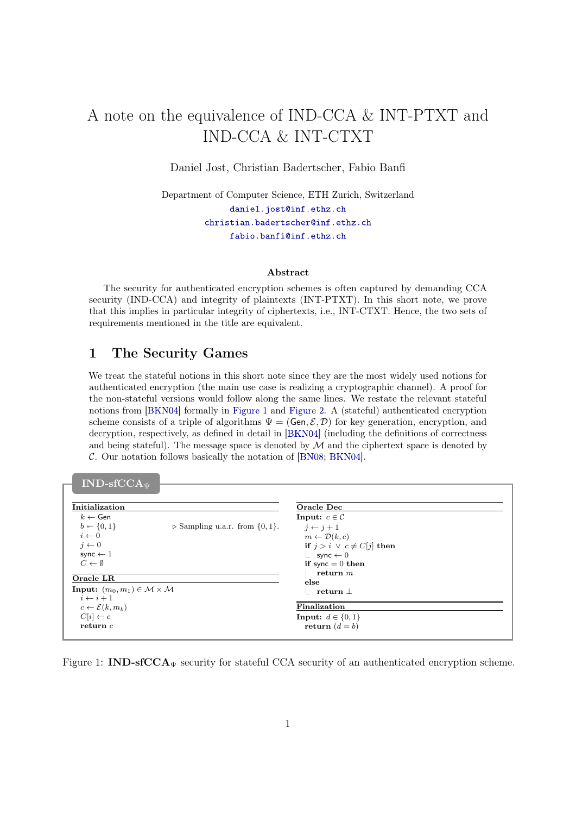# A note on the equivalence of IND-CCA & INT-PTXT and IND-CCA & INT-CTXT

Daniel Jost, Christian Badertscher, Fabio Banfi

Department of Computer Science, ETH Zurich, Switzerland [daniel.jost@inf.ethz.ch](mailto:daniel.jost@inf.ethz.ch) [christian.badertscher@inf.ethz.ch](mailto:badi@inf.ethz.ch) [fabio.banfi@inf.ethz.ch](mailto:fabio.banfi@inf.ethz.ch)

#### Abstract

The security for authenticated encryption schemes is often captured by demanding CCA security (IND-CCA) and integrity of plaintexts (INT-PTXT). In this short note, we prove that this implies in particular integrity of ciphertexts, i.e., INT-CTXT. Hence, the two sets of requirements mentioned in the title are equivalent.

## 1 The Security Games

We treat the stateful notions in this short note since they are the most widely used notions for authenticated encryption (the main use case is realizing a cryptographic channel). A proof for the non-stateful versions would follow along the same lines. We restate the relevant stateful notions from [\[BKN04](#page-16-0)] formally in [Figure 1](#page-0-0) and [Figure 2](#page-1-0). A (stateful) authenticated encryption scheme consists of a triple of algorithms  $\Psi = (\mathsf{Gen}, \mathcal{E}, \mathcal{D})$  for key generation, encryption, and decryption, respectively, as defined in detail in [\[BKN04](#page-16-0) ] (including the definitions of correctness and being stateful). The message space is denoted by  $M$  and the ciphertext space is denoted by C. Our notation follows basically the notation of [\[BN08](#page-16-1) ; [BKN04](#page-16-0) ].

| Initialization                                                |                                                    | Oracle Dec                       |  |
|---------------------------------------------------------------|----------------------------------------------------|----------------------------------|--|
| $k \leftarrow$ Gen                                            |                                                    | Input: $c \in \mathcal{C}$       |  |
| $b \leftarrow \{0, 1\}$                                       | $\triangleright$ Sampling u.a.r. from $\{0, 1\}$ . | $i \leftarrow i+1$               |  |
| $i \leftarrow 0$                                              |                                                    | $m \leftarrow \mathcal{D}(k,c)$  |  |
| $i \leftarrow 0$                                              |                                                    | if $j > i \vee c \neq C[j]$ then |  |
| sync $\leftarrow$ 1                                           |                                                    | $\perp$ sync $\leftarrow$ 0      |  |
| $C \leftarrow \emptyset$                                      |                                                    | if sync $= 0$ then               |  |
| Oracle LR                                                     |                                                    | return $m$                       |  |
|                                                               |                                                    | else                             |  |
| <b>Input:</b> $(m_0, m_1) \in \mathcal{M} \times \mathcal{M}$ |                                                    | return $\perp$                   |  |
| $i \leftarrow i+1$                                            |                                                    | Finalization                     |  |
| $c \leftarrow \mathcal{E}(k, m_b)$                            |                                                    |                                  |  |
| $C[i] \leftarrow c$                                           |                                                    | Input: $d \in \{0, 1\}$          |  |
| return $c$                                                    |                                                    | return $(d = b)$                 |  |

<span id="page-0-0"></span>Figure 1: **IND-sfCCA** $_{\Psi}$  security for stateful CCA security of an authenticated encryption scheme.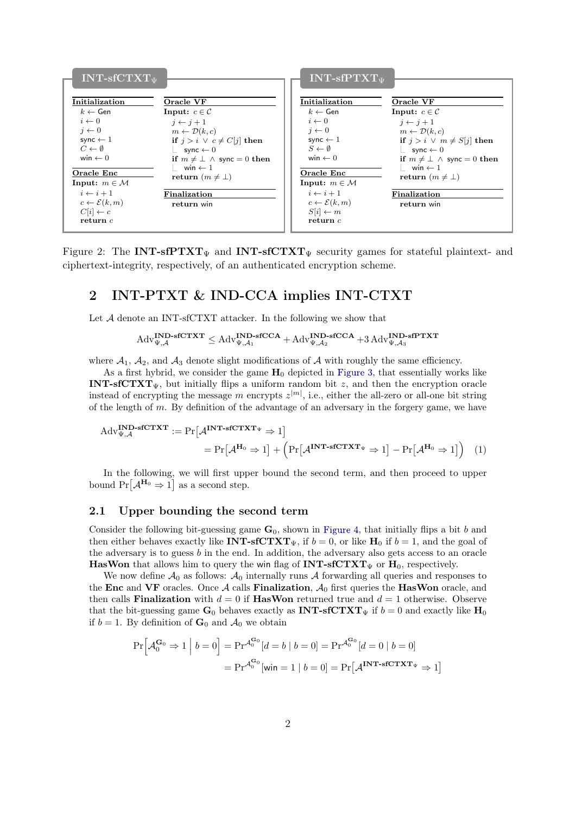

<span id="page-1-0"></span>Figure 2: The INT-sfPTXT<sub>V</sub> and INT-sfCTXT<sub>V</sub> security games for stateful plaintext- and ciphertext-integrity, respectively, of an authenticated encryption scheme.

## 2 INT-PTXT & IND-CCA implies INT-CTXT

Let  $A$  denote an INT-sfCTXT attacker. In the following we show that

<span id="page-1-1"></span> $\mathrm{Adv}_{\Psi,\mathcal{A}}^{\textbf{IND}\textbf{-}\textbf{SfCTXT}} \leq \mathrm{Adv}_{\Psi,\mathcal{A}_1}^{\textbf{IND}\textbf{-}\textbf{SfCCA}} + \mathrm{Adv}_{\Psi,\mathcal{A}_2}^{\textbf{IND}\textbf{-}\textbf{SfCCA}} + 3 \, \mathrm{Adv}_{\Psi,\mathcal{A}_3}^{\textbf{IND}\textbf{-}\textbf{SfPTXT}}$ 

where  $A_1$ ,  $A_2$ , and  $A_3$  denote slight modifications of A with roughly the same efficiency.

As a first hybrid, we consider the game  $H_0$  depicted in [Figure 3](#page-2-0), that essentially works like INT-sfCTXT $_{\Psi}$ , but initially flips a uniform random bit z, and then the encryption oracle instead of encrypting the message m encrypts  $z^{|m|}$ , i.e., either the all-zero or all-one bit string of the length of  $m$ . By definition of the advantage of an adversary in the forgery game, we have

$$
Adv_{\Psi,\mathcal{A}}^{\mathbf{IND}\text{-}s\mathbf{fCTXT}} := \Pr[\mathcal{A}^{\mathbf{INT}\text{-}s\mathbf{fCTXT}_{\Psi}} \Rightarrow 1] \\
= \Pr[\mathcal{A}^{\mathbf{H}_0} \Rightarrow 1] + \left(\Pr[\mathcal{A}^{\mathbf{INT}\text{-}s\mathbf{fCTXT}_{\Psi}} \Rightarrow 1] - \Pr[\mathcal{A}^{\mathbf{H}_0} \Rightarrow 1]\right) \tag{1}
$$

In the following, we will first upper bound the second term, and then proceed to upper bound  $Pr[\mathcal{A}^{\mathbf{H}_0} \Rightarrow 1]$  as a second step.

#### 2.1 Upper bounding the second term

Consider the following bit-guessing game  $G_0$ , shown in [Figure 4](#page-2-1), that initially flips a bit b and then either behaves exactly like **INT-sfCTXT** $_{\Psi}$ , if  $b = 0$ , or like **H**<sub>0</sub> if  $b = 1$ , and the goal of the adversary is to guess  $b$  in the end. In addition, the adversary also gets access to an oracle **HasWon** that allows him to query the win flag of  $INT\text{-}sfCTXT_{\Psi}$  or  $H_0$ , respectively.

We now define  $A_0$  as follows:  $A_0$  internally runs A forwarding all queries and responses to the Enc and VF oracles. Once A calls Finalization,  $A_0$  first queries the HasWon oracle, and then calls **Finalization** with  $d = 0$  if **HasWon** returned true and  $d = 1$  otherwise. Observe that the bit-guessing game  $G_0$  behaves exactly as **INT-sfCTXT**<sub>*w*</sub> if  $b = 0$  and exactly like  $H_0$ if  $b = 1$ . By definition of  $\mathbf{G}_0$  and  $\mathcal{A}_0$  we obtain

$$
\Pr\left[\mathcal{A}_0^{\mathbf{G}_0} \Rightarrow 1 \middle| b = 0\right] = \Pr^{\mathcal{A}_0^{\mathbf{G}_0}}[d = b \mid b = 0] = \Pr^{\mathcal{A}_0^{\mathbf{G}_0}}[d = 0 \mid b = 0]
$$

$$
= \Pr^{\mathcal{A}_0^{\mathbf{G}_0}}[\text{win} = 1 \mid b = 0] = \Pr\left[\mathcal{A}^{\mathbf{INT}\text{-}\mathbf{SfCTXT}_{\Psi}} \Rightarrow 1\right]
$$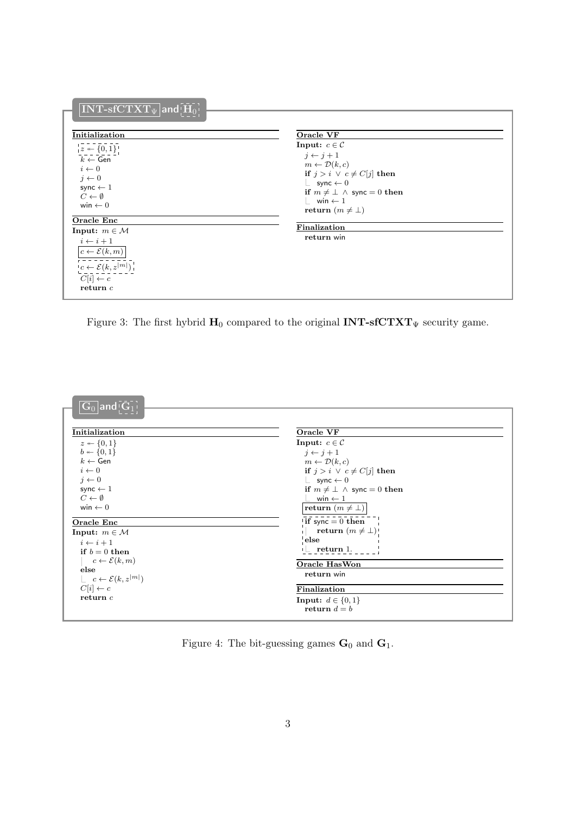| $\overline{[\mathrm{INT}\text{-} \mathrm{sfCTXT}_{\Psi}]}$ and $[\overline{\mathrm{H}_0}]$                                                                     |                                                                                                                                                                                                                                                       |
|----------------------------------------------------------------------------------------------------------------------------------------------------------------|-------------------------------------------------------------------------------------------------------------------------------------------------------------------------------------------------------------------------------------------------------|
| Initialization                                                                                                                                                 | Oracle VF                                                                                                                                                                                                                                             |
| $z \leftarrow \{0, 1\}$<br>$k \leftarrow$ Gen<br>$i \leftarrow 0$<br>$j \leftarrow 0$<br>sync $\leftarrow$ 1<br>$C \leftarrow \emptyset$<br>win $\leftarrow$ 0 | Input: $c \in \mathcal{C}$<br>$j \leftarrow j+1$<br>$m \leftarrow \mathcal{D}(k, c)$<br>if $j > i \vee c \neq C[j]$ then<br>$\perp$ sync $\leftarrow$ 0<br>if $m \neq \perp \wedge$ sync = 0 then<br>$\frac{1}{2}$ win ← 1<br>return $(m \neq \perp)$ |
| <b>Oracle Enc</b>                                                                                                                                              | Finalization                                                                                                                                                                                                                                          |
| Input: $m \in \mathcal{M}$                                                                                                                                     | return win                                                                                                                                                                                                                                            |
| $i \leftarrow i+1$<br>$c \leftarrow \mathcal{E}(k,m)$<br>$c \leftarrow \mathcal{E}(k, z^{ \lceil m \rceil})^{\top}$<br>$C[i] \leftarrow c$<br>return $c$       |                                                                                                                                                                                                                                                       |

<span id="page-2-0"></span>Figure 3: The first hybrid  $\mathbf{H}_0$  compared to the original  $\mathbf{INT}\text{-}\mathbf{sfCTXT}_\Psi$  security game.

| $ \overline{{\bf G}_0} $ and $ \overline{{\bf G}_1} $ |                                        |
|-------------------------------------------------------|----------------------------------------|
|                                                       |                                        |
| Initialization                                        | Oracle VF                              |
| $z \leftarrow \{0,1\}$                                | Input: $c \in \mathcal{C}$             |
| $b \leftarrow \{0, 1\}$                               | $j \leftarrow j + 1$                   |
| $k \leftarrow$ Gen                                    | $m \leftarrow \mathcal{D}(k,c)$        |
| $i \leftarrow 0$                                      | if $j > i \vee c \neq C[j]$ then       |
| $j \leftarrow 0$                                      | $\perp$ sync $\leftarrow$ 0            |
| sync $\leftarrow$ 1                                   | if $m \neq \perp \wedge$ sync = 0 then |
| $C \leftarrow \emptyset$                              | win $\leftarrow$ 1                     |
| win $\leftarrow$ 0                                    | return $(m \neq \bot)$                 |
| <b>Oracle Enc</b>                                     | if sync $= 0$ then                     |
| Input: $m \in \mathcal{M}$                            | return $(m \neq \bot)$ !               |
| $i \leftarrow i+1$                                    | else                                   |
| if $b=0$ then                                         | $-$ return 1.                          |
| $c \leftarrow \mathcal{E}(k,m)$                       | <b>Oracle HasWon</b>                   |
| else                                                  | return win                             |
| $\lfloor c \leftarrow \mathcal{E}(k, z^{ m })$        |                                        |
| $C[i] \leftarrow c$                                   | Finalization                           |
| return $c$                                            | Input: $d \in \{0,1\}$                 |
|                                                       | return $d = b$                         |
|                                                       |                                        |

<span id="page-2-1"></span>Figure 4: The bit-guessing games  $\mathbf{G}_0$  and  $\mathbf{G}_1.$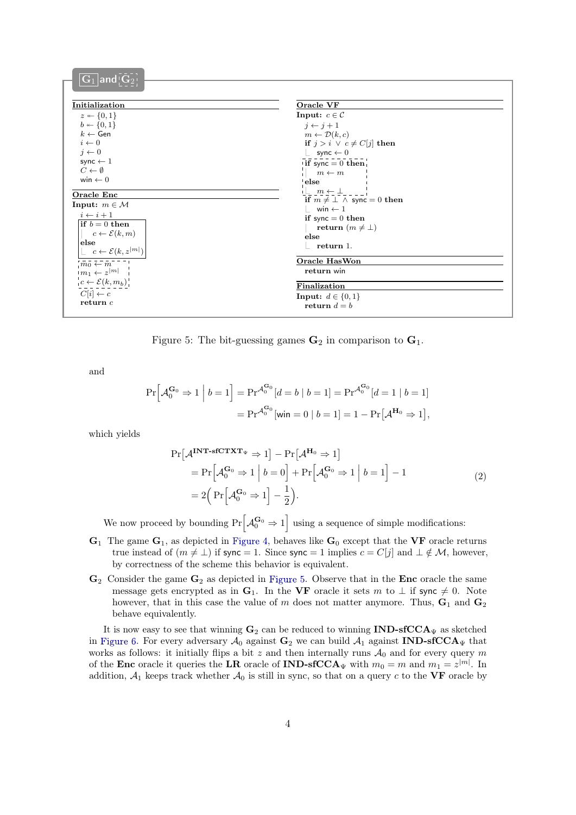| $\overline{{\bf G}_1 \vert}$ and $\vert {\bf G}_2 \vert$ |                                                                      |
|----------------------------------------------------------|----------------------------------------------------------------------|
|                                                          |                                                                      |
| Initialization                                           | Oracle VF                                                            |
| $z \leftarrow \{0,1\}$                                   | Input: $c \in \mathcal{C}$                                           |
| $b \leftarrow \{0, 1\}$                                  | $i \leftarrow i+1$                                                   |
| $k \leftarrow$ Gen                                       | $m \leftarrow \mathcal{D}(k,c)$                                      |
| $i \leftarrow 0$                                         | if $j > i \vee c \neq C[j]$ then                                     |
| $j \leftarrow 0$                                         | $\perp$ sync $\leftarrow$ 0                                          |
| sync $\leftarrow$ 1<br>$C \leftarrow \emptyset$          | $\overline{\text{if}}$ sync = 0 then                                 |
| win $\leftarrow$ 0                                       | $m \leftarrow m$                                                     |
|                                                          | $\mathsf{''else}$                                                    |
| Oracle Enc                                               | $\Box$ $m \leftarrow \bot$<br>if $m \neq \perp \wedge$ sync = 0 then |
| Input: $m \in \mathcal{M}$                               | $\frac{1}{2}$ win $\leftarrow$ 1                                     |
| $i \leftarrow i + 1$                                     | if sync $= 0$ then                                                   |
| if $b=0$ then                                            | return $(m \neq \perp)$                                              |
| $c \leftarrow \mathcal{E}(k,m)$                          | else                                                                 |
| else                                                     | return 1.                                                            |
| $\lfloor c \leftarrow \mathcal{E}(k, z^{ m })$           | <b>Oracle HasWon</b>                                                 |
| $m_0 \leftarrow m^{-1}$                                  |                                                                      |
| $m_1 \leftarrow z^{ m }$                                 | return win                                                           |
| $c \leftarrow \mathcal{E}(k, m_b)$                       | Finalization                                                         |
| $C[i] \leftarrow c$                                      | <b>Input:</b> $d \in \{0, 1\}$                                       |
| return $c$                                               | return $d = b$                                                       |
|                                                          |                                                                      |

<span id="page-3-0"></span>Figure 5: The bit-guessing games  $\mathbf{G}_2$  in comparison to  $\mathbf{G}_1$ .

and

$$
\Pr\left[\mathcal{A}_0^{G_0} \Rightarrow 1 \middle| b = 1\right] = \Pr^{\mathcal{A}_0^{G_0}}[d = b \mid b = 1] = \Pr^{\mathcal{A}_0^{G_0}}[d = 1 \mid b = 1]
$$

$$
= \Pr^{\mathcal{A}_0^{G_0}}[\text{win} = 0 \mid b = 1] = 1 - \Pr[\mathcal{A}^{H_0} \Rightarrow 1],
$$

<span id="page-3-1"></span>which yields

$$
\Pr\left[\mathcal{A}^{\mathbf{INT}\text{-} \mathbf{s} \mathbf{f} \mathbf{C} \mathbf{T} \mathbf{X} \mathbf{T}_{\Psi}} \Rightarrow 1\right] - \Pr\left[\mathcal{A}^{\mathbf{H}_0} \Rightarrow 1\right] \n= \Pr\left[\mathcal{A}_0^{\mathbf{G}_0} \Rightarrow 1 \mid b = 0\right] + \Pr\left[\mathcal{A}_0^{\mathbf{G}_0} \Rightarrow 1 \mid b = 1\right] - 1 \n= 2\left(\Pr\left[\mathcal{A}_0^{\mathbf{G}_0} \Rightarrow 1\right] - \frac{1}{2}\right).
$$
\n(2)

We now proceed by bounding  $Pr\left[\mathcal{A}_0^{\mathbf{G}_0} \Rightarrow 1\right]$  using a sequence of simple modifications:

- $G_1$  The game  $G_1$ , as depicted in [Figure 4](#page-2-1), behaves like  $G_0$  except that the VF oracle returns true instead of  $(m \neq \perp)$  if sync = 1. Since sync = 1 implies  $c = C[j]$  and  $\perp \notin \mathcal{M}$ , however, by correctness of the scheme this behavior is equivalent.
- $\mathbf{G}_2$  Consider the game  $\mathbf{G}_2$  as depicted in [Figure 5](#page-3-0). Observe that in the Enc oracle the same message gets encrypted as in  $G_1$ . In the VF oracle it sets m to  $\perp$  if sync  $\neq 0$ . Note however, that in this case the value of  $m$  does not matter anymore. Thus,  $\mathbf{G}_1$  and  $\mathbf{G}_2$ behave equivalently.

It is now easy to see that winning  $\mathbf{G}_2$  can be reduced to winning **IND-sfCCA** $_{\Psi}$  as sketched in [Figure 6](#page-4-0). For every adversary  $\mathcal{A}_0$  against  $\mathbf{G}_2$  we can build  $\mathcal{A}_1$  against IND-sfCCA<sub>V</sub> that works as follows: it initially flips a bit z and then internally runs  $A_0$  and for every query m of the **Enc** oracle it queries the LR oracle of **IND-sfCCA** $_{\Psi}$  with  $m_0 = m$  and  $m_1 = z^{|m|}$ . In addition,  $\mathcal{A}_1$  keeps track whether  $\mathcal{A}_0$  is still in sync, so that on a query c to the VF oracle by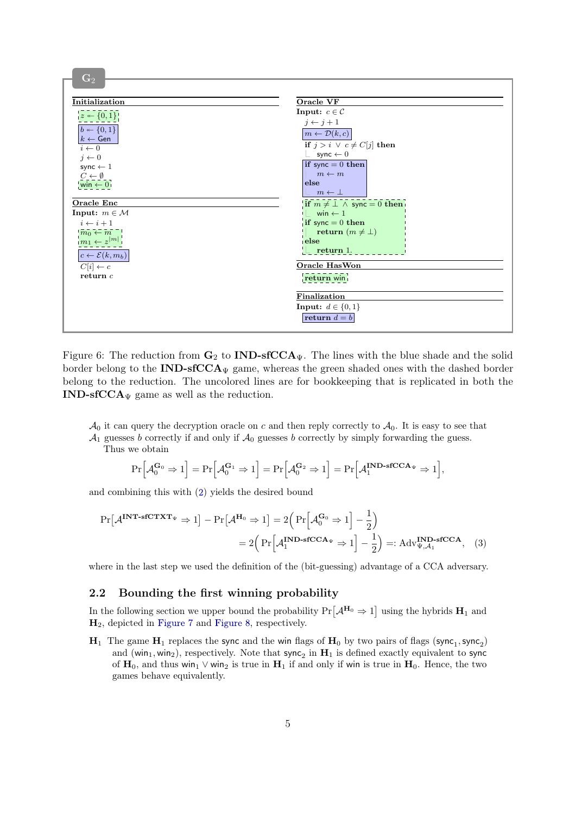

<span id="page-4-0"></span>Figure 6: The reduction from  $G_2$  to **IND-sfCCA**<sub> $\Psi$ </sub>. The lines with the blue shade and the solid border belong to the  $IND\text{-}sfCCA_{\Psi}$  game, whereas the green shaded ones with the dashed border belong to the reduction. The uncolored lines are for bookkeeping that is replicated in both the **IND-sfCCA** $_{\Psi}$  game as well as the reduction.

 $\mathcal{A}_0$  it can query the decryption oracle on c and then reply correctly to  $\mathcal{A}_0$ . It is easy to see that  $\mathcal{A}_1$  guesses b correctly if and only if  $\mathcal{A}_0$  guesses b correctly by simply forwarding the guess.

Thus we obtain

<span id="page-4-1"></span>
$$
\Pr\Big[\mathcal{A}_0^{\mathbf{G}_0}\Rightarrow 1\Big]=\Pr\Big[\mathcal{A}_0^{\mathbf{G}_1}\Rightarrow 1\Big]=\Pr\Big[\mathcal{A}_0^{\mathbf{G}_2}\Rightarrow 1\Big]=\Pr\Big[\mathcal{A}_1^{\mathbf{IND}\text{-}\mathbf{sfCCA}_{\Psi}}\Rightarrow 1\Big],
$$

and combining this with [\(2](#page-3-1) ) yields the desired bound

$$
\Pr[\mathcal{A}^{\text{INT-sfCTXT}_{\Psi}} \Rightarrow 1] - \Pr[\mathcal{A}^{\text{H}_0} \Rightarrow 1] = 2\left(\Pr[\mathcal{A}_0^{\text{G}_0} \Rightarrow 1] - \frac{1}{2}\right)
$$

$$
= 2\left(\Pr[\mathcal{A}_1^{\text{IND-sfCCA}_{\Psi}} \Rightarrow 1] - \frac{1}{2}\right) =: \text{Adv}_{\Psi, \mathcal{A}_1}^{\text{IND-sfCCA}}, \quad (3)
$$

where in the last step we used the definition of the (bit-guessing) advantage of a CCA adversary.

#### 2.2 Bounding the first winning probability

In the following section we upper bound the probability  $Pr[\mathcal{A}^{\mathbf{H}_0} \Rightarrow 1]$  using the hybrids  $\mathbf{H}_1$  and H2, depicted in [Figure 7](#page-5-0) and [Figure 8](#page-5-1) , respectively.

 ${\bf H}_1\;$  The game  ${\bf H}_1$  replaces the sync and the win flags of  ${\bf H}_0$  by two pairs of flags (sync $_1,$ sync $_2)$ and (win<sub>1</sub>, win<sub>2</sub>), respectively. Note that  $\mathsf{sync}_2$  in  $\mathbf{H}_1$  is defined exactly equivalent to sync of  $H_0$ , and thus win<sub>1</sub> ∨ win<sub>2</sub> is true in  $H_1$  if and only if win is true in  $H_0$ . Hence, the two games behave equivalently.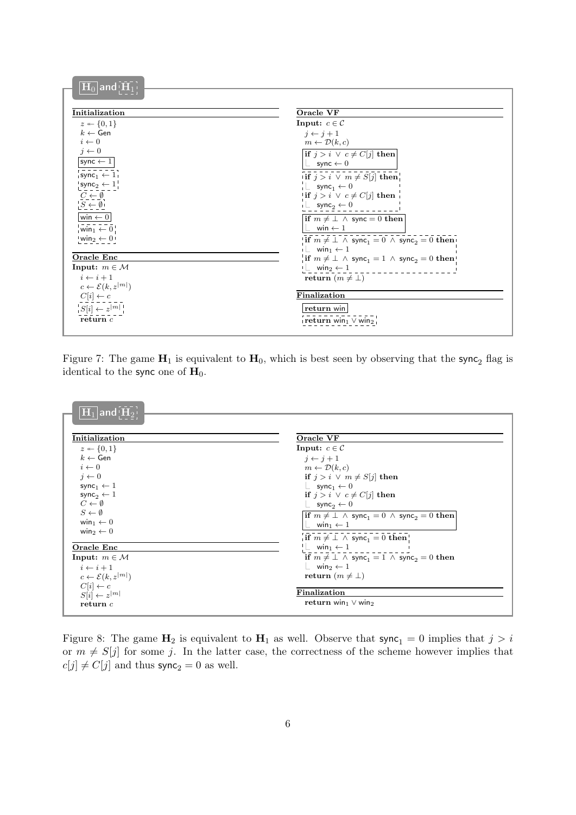| $\overline{{{\left  {{{\bf{H}}_0}} \right }}$ and $\overline{{{\left  {{{\bf{\bar H}}_1}} \right }}}$ |                                                                                           |
|-------------------------------------------------------------------------------------------------------|-------------------------------------------------------------------------------------------|
|                                                                                                       |                                                                                           |
| Initialization                                                                                        | Oracle VF                                                                                 |
| $z \leftarrow \{0,1\}$                                                                                | Input: $c \in \mathcal{C}$                                                                |
| $k \leftarrow$ Gen                                                                                    | $i \leftarrow i + 1$                                                                      |
| $i \leftarrow 0$                                                                                      | $m \leftarrow \mathcal{D}(k,c)$                                                           |
| $j \leftarrow 0$                                                                                      | <b>if</b> $j > i \vee c \neq C[j]$ then                                                   |
| $\mathsf{sync} \gets 1$                                                                               | $\vert\,\vert$ sync $\leftarrow 0$                                                        |
| $\mathsf{sync}_1 \leftarrow 1$                                                                        | if $j > i \vee m \neq S[j]$ then                                                          |
| $\mathsf{sync}_2 \leftarrow 1$                                                                        | $\perp$ sync <sub>1</sub> $\leftarrow$ 0                                                  |
| $C \leftarrow \emptyset$                                                                              | <b>if</b> $j > i \vee c \neq C[j]$ then                                                   |
| $S \leftarrow \emptyset$                                                                              | $\vdash$ sync <sub>2</sub> $\leftarrow$ 0                                                 |
| $\textsf{win} \gets 0$                                                                                | if $m \neq \perp \wedge$ sync = 0 then                                                    |
| win $\overline{1} \leftarrow 0$                                                                       | $\perp$ win $\leftarrow$ 1                                                                |
| $win_2 \leftarrow 0$                                                                                  | <b>if</b> $m \neq \perp \wedge$ sync <sub>1</sub> = 0 $\wedge$ sync <sub>2</sub> = 0 then |
|                                                                                                       | $i \perp$ win <sub>1</sub> $\leftarrow$ 1                                                 |
| Oracle Enc                                                                                            | <b>if</b> $m \neq \perp \wedge$ sync <sub>1</sub> = 1 $\wedge$ sync <sub>2</sub> = 0 then |
| Input: $m \in \mathcal{M}$                                                                            | $\vdash$ win <sub>2</sub> $\leftarrow$ 1                                                  |
| $i \leftarrow i + 1$                                                                                  | return $(m \neq \perp)$                                                                   |
| $c \leftarrow \mathcal{E}(k, z^{ m })$                                                                |                                                                                           |
| $C[i] \leftarrow c$                                                                                   | Finalization                                                                              |
| $ S[i] \leftarrow z^{ m }$                                                                            | return win                                                                                |
| return $c$                                                                                            | $\frac{1}{2}$ return win $_1 \vee$ win $_2 \frac{1}{2}$                                   |
|                                                                                                       |                                                                                           |

<span id="page-5-0"></span>Figure 7: The game  $H_1$  is equivalent to  $H_0$ , which is best seen by observing that the sync<sub>2</sub> flag is identical to the sync one of  $H_0$ .

| Initialization                         | Oracle VF                                                                          |
|----------------------------------------|------------------------------------------------------------------------------------|
| $z \leftarrow \{0,1\}$                 | Input: $c \in \mathcal{C}$                                                         |
| $k \leftarrow$ Gen                     | $i \leftarrow i+1$                                                                 |
| $i \leftarrow 0$                       | $m \leftarrow \mathcal{D}(k,c)$                                                    |
| $i \leftarrow 0$                       | if $j > i \vee m \neq S[j]$ then                                                   |
| sync <sub>1</sub> $\leftarrow$ 1       | $\perp$ sync <sub>1</sub> $\leftarrow$ 0                                           |
| sync <sub>2</sub> $\leftarrow$ 1       | if $j > i \vee c \neq C[i]$ then                                                   |
| $C \leftarrow \emptyset$               | $\perp$ sync <sub>2</sub> $\leftarrow$ 0                                           |
| $S \leftarrow \emptyset$               | if $m \neq \perp \wedge$ sync <sub>1</sub> = 0 $\wedge$ sync <sub>2</sub> = 0 then |
| win <sub>1</sub> $\leftarrow$ 0        | win $_1 \leftarrow 1$                                                              |
| win <sub>2</sub> $\leftarrow$ 0        | $\overline{\text{if } m \neq \bot \land \text{ sync}_1 = 0 \text{ then}}}$         |
| Oracle Enc                             | $\perp$ win <sub>1</sub> $\leftarrow$ 1                                            |
| Input: $m \in \mathcal{M}$             | if $m \neq \perp \wedge$ sync <sub>1</sub> = 1 $\wedge$ sync <sub>2</sub> = 0 then |
| $i \leftarrow i + 1$                   | $\perp$ win <sub>2</sub> $\leftarrow$ 1                                            |
| $c \leftarrow \mathcal{E}(k, z^{ m })$ | return $(m \neq \perp)$                                                            |
| $C[i] \leftarrow c$                    |                                                                                    |
| $S[i] \leftarrow z^{ m }$              | Finalization                                                                       |
| return c                               | return win $\vee$ win2                                                             |

<span id="page-5-1"></span>Figure 8: The game  $\mathbf{H}_2$  is equivalent to  $\mathbf{H}_1$  as well. Observe that sync<sub>1</sub> = 0 implies that  $j > i$ or  $m \neq S[j]$  for some j. In the latter case, the correctness of the scheme however implies that  $c[j] \neq C[j]$  and thus sync<sub>2</sub> = 0 as well.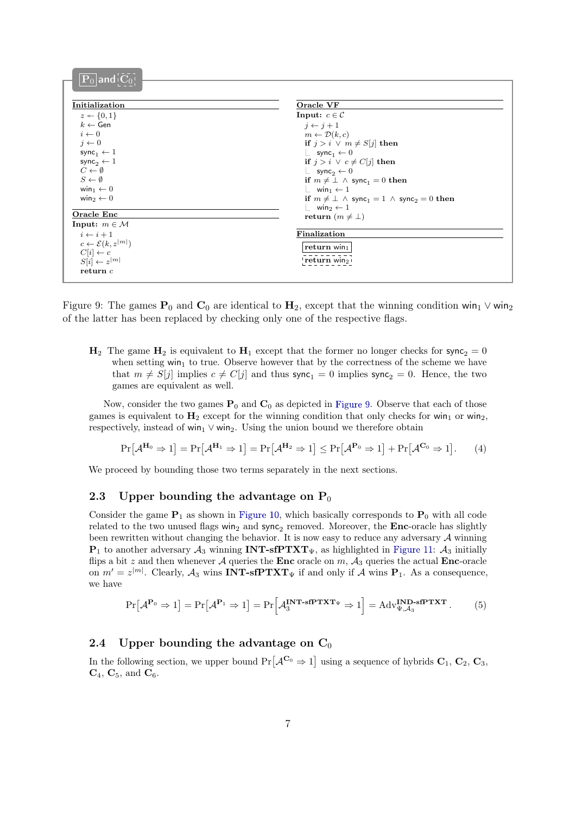| $\boxed{\mathbf{P}_0}$ and $\boxed{\mathbf{C}_0}$ |                                                                                    |
|---------------------------------------------------|------------------------------------------------------------------------------------|
|                                                   |                                                                                    |
| Initialization                                    | Oracle VF                                                                          |
| $z \leftarrow \{0, 1\}$                           | Input: $c \in \mathcal{C}$                                                         |
| $k \leftarrow$ Gen                                | $i \leftarrow i+1$                                                                 |
| $i \leftarrow 0$                                  | $m \leftarrow \mathcal{D}(k,c)$                                                    |
| $i \leftarrow 0$                                  | if $j > i \vee m \neq S[j]$ then                                                   |
| sync <sub>1</sub> $\leftarrow$ 1                  | $\perp$ sync <sub>1</sub> $\leftarrow$ 0                                           |
| sync <sub>2</sub> $\leftarrow$ 1                  | if $j > i \vee c \neq C[j]$ then                                                   |
| $C \leftarrow \emptyset$                          | $\perp$ sync <sub>2</sub> $\leftarrow$ 0                                           |
| $S \leftarrow \emptyset$                          | if $m \neq \perp \wedge$ sync <sub>1</sub> = 0 then                                |
| win <sub>1</sub> $\leftarrow$ 0                   | $\perp$ win <sub>1</sub> $\leftarrow$ 1                                            |
| win <sub>2</sub> $\leftarrow$ 0                   | if $m \neq \perp \wedge$ sync <sub>1</sub> = 1 $\wedge$ sync <sub>2</sub> = 0 then |
| Oracle Enc                                        | $\perp$ win <sub>2</sub> $\leftarrow$ 1                                            |
| Input: $m \in \mathcal{M}$                        | return $(m \neq \perp)$                                                            |
| $i \leftarrow i + 1$                              | Finalization                                                                       |
| $c \leftarrow \mathcal{E}(k, z^{ m })$            |                                                                                    |
| $C[i] \leftarrow c$                               | return $win_1$                                                                     |
| $S[i] \leftarrow z^{ m }$                         | return win <sub>2</sub>                                                            |
| return c                                          |                                                                                    |
|                                                   |                                                                                    |

<span id="page-6-0"></span>Figure 9: The games  $P_0$  and  $C_0$  are identical to  $H_2$ , except that the winning condition win<sub>1</sub>  $\vee$  win<sub>2</sub> of the latter has been replaced by checking only one of the respective flags.

 $H_2$  The game  $H_2$  is equivalent to  $H_1$  except that the former no longer checks for sync<sub>2</sub> = 0 when setting  $win_1$  to true. Observe however that by the correctness of the scheme we have that  $m \neq S[j]$  implies  $c \neq C[j]$  and thus sync<sub>1</sub> = 0 implies sync<sub>2</sub> = 0. Hence, the two games are equivalent as well.

Now, consider the two games  $P_0$  and  $C_0$  as depicted in [Figure 9](#page-6-0). Observe that each of those games is equivalent to  $H_2$  except for the winning condition that only checks for win<sub>1</sub> or win<sub>2</sub>, respectively, instead of win<sub>1</sub>  $\vee$  win<sub>2</sub>. Using the union bound we therefore obtain

<span id="page-6-2"></span>
$$
\Pr\left[\mathcal{A}^{\mathbf{H}_0} \Rightarrow 1\right] = \Pr\left[\mathcal{A}^{\mathbf{H}_1} \Rightarrow 1\right] = \Pr\left[\mathcal{A}^{\mathbf{H}_2} \Rightarrow 1\right] \le \Pr\left[\mathcal{A}^{\mathbf{P}_0} \Rightarrow 1\right] + \Pr\left[\mathcal{A}^{\mathbf{C}_0} \Rightarrow 1\right].\tag{4}
$$

We proceed by bounding those two terms separately in the next sections.

#### 2.3 Upper bounding the advantage on  $P_0$

Consider the game  $P_1$  as shown in [Figure 10](#page-7-0), which basically corresponds to  $P_0$  with all code related to the two unused flags  $win_2$  and  $sync_2$  removed. Moreover, the **Enc**-oracle has slightly been rewritten without changing the behavior. It is now easy to reduce any adversary  $A$  winning  $P_1$  to another adversary  $A_3$  winning INT-sfPTXT<sub>V</sub>, as highlighted in [Figure 11](#page-7-1):  $A_3$  initially flips a bit z and then whenever A queries the Enc oracle on  $m$ ,  $A_3$  queries the actual Enc-oracle on  $m' = z^{|m|}$ . Clearly,  $\mathcal{A}_3$  wins **INT-sfPTXT**<sub> $\Psi$ </sub> if and only if  $\mathcal{A}$  wins **P**<sub>1</sub>. As a consequence, we have

<span id="page-6-1"></span>
$$
\Pr[\mathcal{A}^{\mathbf{P}_0} \Rightarrow 1] = \Pr[\mathcal{A}^{\mathbf{P}_1} \Rightarrow 1] = \Pr[\mathcal{A}_3^{\mathbf{INT}\text{-}\mathbf{sfPTXT}_{\Psi}} \Rightarrow 1] = \mathrm{Adv}_{\Psi,\mathcal{A}_3}^{\mathbf{IND}\text{-}\mathbf{sfPTXT}}.
$$
 (5)

## 2.4 Upper bounding the advantage on  $C_0$

In the following section, we upper bound  $Pr[\mathcal{A}^{\mathbf{C}_0} \Rightarrow 1]$  using a sequence of hybrids  $\mathbf{C}_1, \mathbf{C}_2, \mathbf{C}_3$ ,  $C_4$ ,  $C_5$ , and  $C_6$ .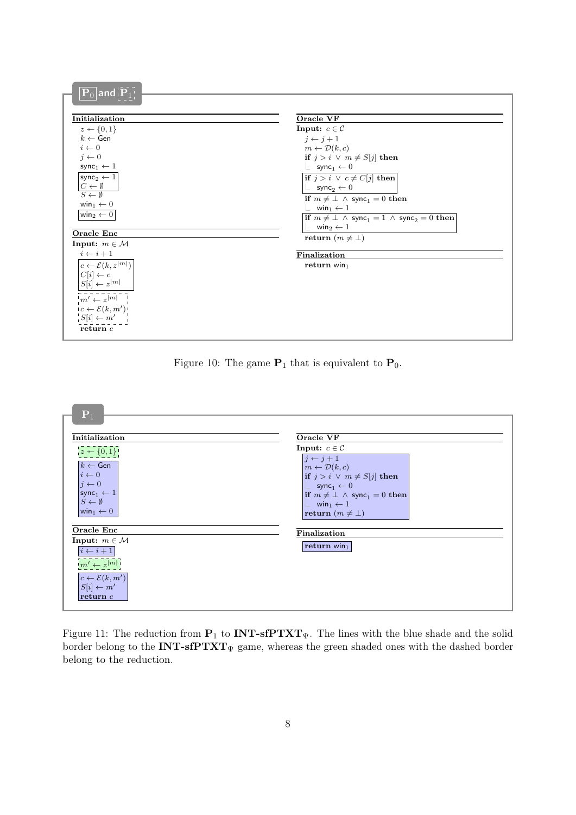| Initialization                                          | Oracle VF                                                                          |
|---------------------------------------------------------|------------------------------------------------------------------------------------|
| $z \leftarrow \{0,1\}$                                  | Input: $c \in \mathcal{C}$                                                         |
| $k \leftarrow$ Gen                                      | $j \leftarrow j+1$                                                                 |
| $i \leftarrow 0$                                        | $m \leftarrow \mathcal{D}(k,c)$                                                    |
| $j \leftarrow 0$                                        | if $j > i \vee m \neq S[j]$ then                                                   |
| sync <sub>1</sub> $\leftarrow$ 1                        | $\perp$ sync <sub>1</sub> $\leftarrow$ 0                                           |
| $\mathsf{sync}_2 \leftarrow 1$                          | <b>if</b> $j > i \vee c \neq C[j]$ then                                            |
|                                                         |                                                                                    |
| $\frac{C \leftarrow \emptyset}{S \leftarrow \emptyset}$ | $\perp$ sync <sub>2</sub> $\leftarrow$ 0                                           |
| win <sub>1</sub> $\leftarrow$ 0                         | if $m \neq \perp \wedge$ sync <sub>1</sub> = 0 then                                |
| win <sub>2</sub> $\leftarrow$ 0                         | win $\leftarrow$ 1                                                                 |
|                                                         | if $m \neq \perp \wedge$ sync <sub>1</sub> = 1 $\wedge$ sync <sub>2</sub> = 0 then |
| Oracle Enc                                              | win <sub>2</sub> $\leftarrow$ 1                                                    |
| Input: $m \in \mathcal{M}$                              | return $(m \neq \perp)$                                                            |
| $i \leftarrow i+1$                                      |                                                                                    |
|                                                         | Finalization                                                                       |
| $c \leftarrow \mathcal{E}(k, z^{ m })$                  | return $win_1$                                                                     |
| $C[i] \leftarrow c$                                     |                                                                                    |
| $S[i] \leftarrow z^{ m }$                               |                                                                                    |
| $m' \leftarrow z^{[m]}$                                 |                                                                                    |
| $c \leftarrow \mathcal{E}(k, m')$                       |                                                                                    |
| $S[i] \leftarrow m'$                                    |                                                                                    |
|                                                         |                                                                                    |

<span id="page-7-0"></span>Figure 10: The game  $P_1$  that is equivalent to  $P_0$ .



<span id="page-7-1"></span>Figure 11: The reduction from  $P_1$  to **INT-sfPTXT**<sub> $\Psi$ </sub>. The lines with the blue shade and the solid border belong to the  $INT\text{-}sfPTXT_{\Psi}$  game, whereas the green shaded ones with the dashed border belong to the reduction.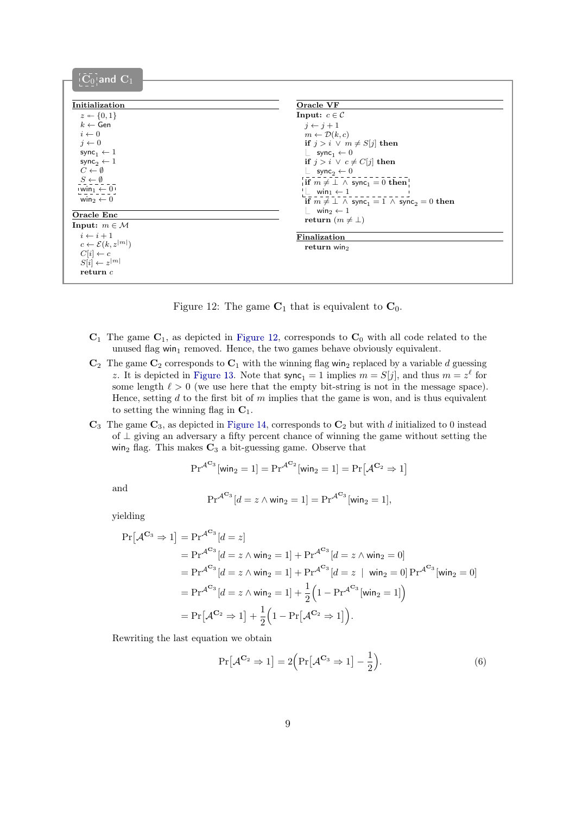| $\overline{\mathbf{C}_0}$ and $\overline{\mathbf{C}_1}$ |                                                                                    |
|---------------------------------------------------------|------------------------------------------------------------------------------------|
|                                                         |                                                                                    |
| Initialization                                          | Oracle VF                                                                          |
| $z \leftarrow \{0,1\}$                                  | Input: $c \in \mathcal{C}$                                                         |
| $k \leftarrow$ Gen                                      |                                                                                    |
| $i \leftarrow 0$                                        | $i \leftarrow j+1$                                                                 |
|                                                         | $m \leftarrow \mathcal{D}(k,c)$                                                    |
| $j \leftarrow 0$                                        | if $j > i \vee m \neq S[j]$ then                                                   |
| sync <sub>1</sub> $\leftarrow$ 1                        | $\perp$ sync <sub>1</sub> $\leftarrow$ 0                                           |
| sync <sub>2</sub> $\leftarrow$ 1                        | if $j > i \vee c \neq C[j]$ then                                                   |
| $C \leftarrow \emptyset$                                | $\perp$ sync <sub>2</sub> $\leftarrow$ 0                                           |
| $S \leftarrow \emptyset$                                | if $m \neq \bot \wedge$ sync <sub>1</sub> = 0 then                                 |
| $win_1 \leftarrow 0$                                    | $\perp$ win <sub>1</sub> $\leftarrow$ 1                                            |
| win <sub>2</sub> $\leftarrow$ 0                         | if $m \neq \perp \wedge$ sync <sub>1</sub> = 1 $\wedge$ sync <sub>2</sub> = 0 then |
| Oracle Enc                                              | $\perp$ win <sub>2</sub> $\leftarrow$ 1                                            |
|                                                         | return $(m \neq \perp)$                                                            |
| Input: $m \in \mathcal{M}$                              |                                                                                    |
| $i \leftarrow i + 1$                                    | Finalization                                                                       |
| $c \leftarrow \mathcal{E}(k, z^{ m })$                  | return win $2$                                                                     |
| $C[i] \leftarrow c$                                     |                                                                                    |
| $S[i] \leftarrow z^{ m }$                               |                                                                                    |
| return c                                                |                                                                                    |
|                                                         |                                                                                    |

<span id="page-8-0"></span>

- $\mathbf{C}_1$  The game  $\mathbf{C}_1$ , as depicted in [Figure 12](#page-8-0), corresponds to  $\mathbf{C}_0$  with all code related to the unused flag win<sub>1</sub> removed. Hence, the two games behave obviously equivalent.
- $\mathbf{C}_2$  The game  $\mathbf{C}_2$  corresponds to  $\mathbf{C}_1$  with the winning flag win<sub>2</sub> replaced by a variable d guessing z. It is depicted in [Figure 13](#page-9-0). Note that  $\text{sync}_1 = 1$  implies  $m = S[j]$ , and thus  $m = z^{\ell}$  for some length  $\ell > 0$  (we use here that the empty bit-string is not in the message space). Hence, setting  $d$  to the first bit of  $m$  implies that the game is won, and is thus equivalent to setting the winning flag in  $C_1$ .
- $\mathbf{C}_3$  The game  $\mathbf{C}_3$ , as depicted in [Figure 14](#page-9-1), corresponds to  $\mathbf{C}_2$  but with d initialized to 0 instead of ⊥ giving an adversary a fifty percent chance of winning the game without setting the win<sub>2</sub> flag. This makes  $C_3$  a bit-guessing game. Observe that

$$
\mathrm{Pr}^{\mathcal{A}^{\mathbf{C}_3}}[\mathsf{win}_2 = 1] = \mathrm{Pr}^{\mathcal{A}^{\mathbf{C}_2}}[\mathsf{win}_2 = 1] = \mathrm{Pr}\big[\mathcal{A}^{\mathbf{C}_2} \Rightarrow 1\big]
$$

and

$$
\mathrm{Pr}^{\mathcal{A}^{\mathbf{C}_3}}[d = z \wedge \mathsf{win}_2 = 1] = \mathrm{Pr}^{\mathcal{A}^{\mathbf{C}_3}}[\mathsf{win}_2 = 1],
$$

yielding

$$
\Pr[\mathcal{A}^{C_3} \Rightarrow 1] = \Pr^{\mathcal{A}^{C_3}}[d = z] \n= \Pr^{\mathcal{A}^{C_3}}[d = z \wedge \text{win}_2 = 1] + \Pr^{\mathcal{A}^{C_3}}[d = z \wedge \text{win}_2 = 0] \n= \Pr^{\mathcal{A}^{C_3}}[d = z \wedge \text{win}_2 = 1] + \Pr^{\mathcal{A}^{C_3}}[d = z \mid \text{win}_2 = 0] \Pr^{\mathcal{A}^{C_3}}[\text{win}_2 = 0] \n= \Pr^{\mathcal{A}^{C_3}}[d = z \wedge \text{win}_2 = 1] + \frac{1}{2}\left(1 - \Pr^{\mathcal{A}^{C_3}}[\text{win}_2 = 1]\right) \n= \Pr[\mathcal{A}^{C_2} \Rightarrow 1] + \frac{1}{2}\left(1 - \Pr[\mathcal{A}^{C_2} \Rightarrow 1]\right).
$$

Rewriting the last equation we obtain

<span id="page-8-1"></span>
$$
\Pr[\mathcal{A}^{\mathbf{C}_2} \Rightarrow 1] = 2\Big(\Pr[\mathcal{A}^{\mathbf{C}_3} \Rightarrow 1] - \frac{1}{2}\Big). \tag{6}
$$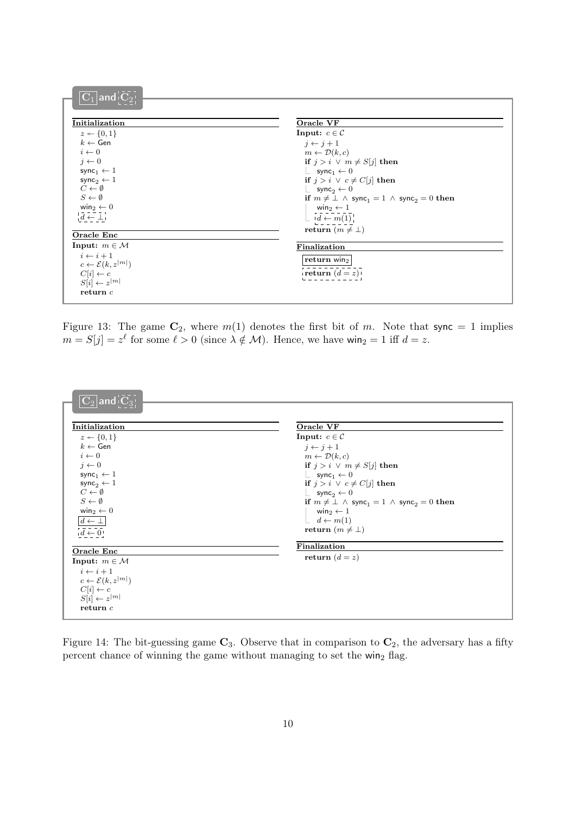| $ \overline{\mathbf{C}}_1 $ and $ \overline{\mathbf{C}}_2 $ |                                                                                    |
|-------------------------------------------------------------|------------------------------------------------------------------------------------|
|                                                             |                                                                                    |
| Initialization                                              | Oracle VF                                                                          |
| $z \leftarrow \{0, 1\}$                                     | Input: $c \in \mathcal{C}$                                                         |
| $k \leftarrow$ Gen                                          | $i \leftarrow i+1$                                                                 |
| $i \leftarrow 0$                                            | $m \leftarrow \mathcal{D}(k,c)$                                                    |
| $j \leftarrow 0$                                            | if $j > i \vee m \neq S[j]$ then                                                   |
| sync <sub>1</sub> $\leftarrow$ 1                            | $\perp$ sync <sub>1</sub> $\leftarrow$ 0                                           |
| sync <sub>2</sub> $\leftarrow$ 1                            | if $j > i \vee c \neq C[j]$ then                                                   |
| $C \leftarrow \emptyset$                                    | $\perp$ sync <sub>2</sub> $\leftarrow$ 0                                           |
| $S \leftarrow \emptyset$                                    | if $m \neq \perp \wedge$ sync <sub>1</sub> = 1 $\wedge$ sync <sub>2</sub> = 0 then |
| win <sub>2</sub> $\leftarrow$ 0                             | win <sub>2</sub> $\leftarrow$ 1                                                    |
| $\bar{d} \leftarrow \bot$                                   | $\lfloor id \leftarrow m(1) \rfloor$                                               |
| Oracle Enc                                                  | return $(m \neq \perp)$                                                            |
| Input: $m \in \mathcal{M}$                                  |                                                                                    |
| $i \leftarrow i+1$                                          | Finalization                                                                       |
| $c \leftarrow \mathcal{E}(k, z^{ m })$                      | return win $_2$                                                                    |
| $C[i] \leftarrow c$                                         | return $(d = z)$                                                                   |
| $S[i] \leftarrow z^{ m }$                                   |                                                                                    |
| return c                                                    |                                                                                    |
|                                                             |                                                                                    |

<span id="page-9-0"></span>Figure 13: The game  $C_2$ , where  $m(1)$  denotes the first bit of m. Note that sync = 1 implies  $m = S[j] = z^{\ell}$  for some  $\ell > 0$  (since  $\lambda \notin \mathcal{M}$ ). Hence, we have win<sub>2</sub> = 1 iff  $d = z$ .



<span id="page-9-1"></span>Figure 14: The bit-guessing game  $\mathbb{C}_3$ . Observe that in comparison to  $\mathbb{C}_2$ , the adversary has a fifty percent chance of winning the game without managing to set the win<sub>2</sub> flag.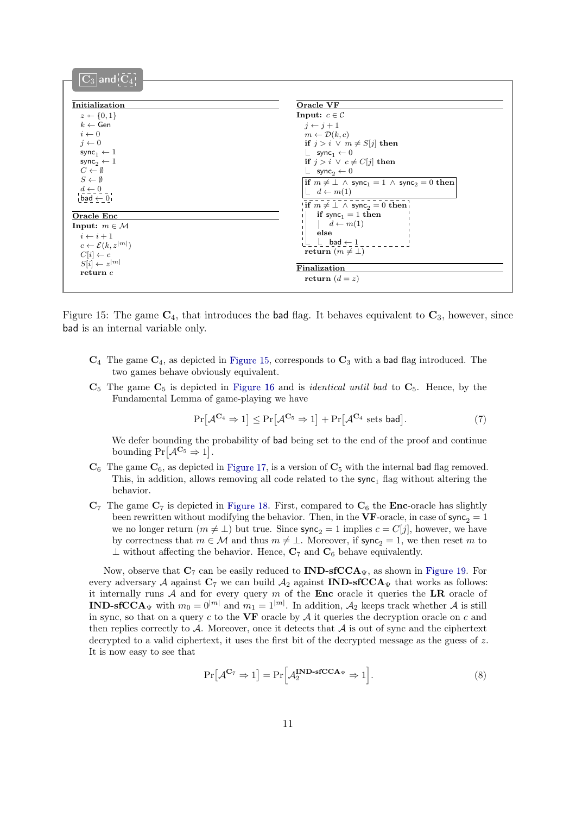| Initialization                                     | Oracle VF                                                                                   |
|----------------------------------------------------|---------------------------------------------------------------------------------------------|
| $z \leftarrow \{0, 1\}$                            | Input: $c \in \mathcal{C}$                                                                  |
| $k \leftarrow$ Gen                                 | $i \leftarrow i+1$                                                                          |
| $i \leftarrow 0$                                   | $m \leftarrow \mathcal{D}(k,c)$                                                             |
| $j \leftarrow 0$                                   | if $j > i \vee m \neq S[j]$ then                                                            |
| sync <sub>1</sub> $\leftarrow$ 1                   | $\perp$ sync <sub>1</sub> $\leftarrow$ 0                                                    |
| sync <sub>2</sub> $\leftarrow$ 1                   | if $j > i \vee c \neq C[j]$ then                                                            |
| $C \leftarrow \emptyset$                           | $\perp$ sync <sub>2</sub> $\leftarrow$ 0                                                    |
| $S \leftarrow \emptyset$                           | $\inf m \neq \bot \land \text{sync}_1 = 1 \land \text{ sync}_2 = 0$ then                    |
| $\frac{d \leftarrow 0}{\mathsf{bad} \leftarrow 0}$ | $d \leftarrow m(1)$                                                                         |
|                                                    |                                                                                             |
|                                                    | <b>if</b> $m \neq \perp \wedge$ sync <sub>2</sub> = 0 then<br>if sync <sub>1</sub> = 1 then |
| Oracle Enc                                         | $d \leftarrow m(1)$                                                                         |
| Input: $m \in \mathcal{M}$                         | else                                                                                        |
| $i \leftarrow i+1$                                 | $\_$ bad $\leftarrow 1$                                                                     |
| $c \leftarrow \mathcal{E}(k, z^{ m })$             | return $(m \neq \perp)$                                                                     |
| $C[i] \leftarrow c$                                |                                                                                             |
| $S[i] \leftarrow z^{ m }$                          | Finalization                                                                                |
| return c                                           | return $(d = z)$                                                                            |

<span id="page-10-0"></span>Figure 15: The game  $C_4$ , that introduces the bad flag. It behaves equivalent to  $C_3$ , however, since bad is an internal variable only.

- $\mathbf{C}_4$  The game  $\mathbf{C}_4$ , as depicted in [Figure 15](#page-10-0), corresponds to  $\mathbf{C}_3$  with a bad flag introduced. The two games behave obviously equivalent.
- $\mathbf{C}_5$  The game  $\mathbf{C}_5$  is depicted in [Figure 16](#page-11-0) and is *identical until bad* to  $\mathbf{C}_5$ . Hence, by the Fundamental Lemma of game-playing we have

<span id="page-10-1"></span>
$$
\Pr[\mathcal{A}^{\mathbf{C}_4} \Rightarrow 1] \le \Pr[\mathcal{A}^{\mathbf{C}_5} \Rightarrow 1] + \Pr[\mathcal{A}^{\mathbf{C}_4} \text{ sets bad}]. \tag{7}
$$

We defer bounding the probability of bad being set to the end of the proof and continue bounding  $Pr[\mathcal{A}^{\mathbf{C}_5} \Rightarrow 1].$ 

- $\mathbf{C}_6$  The game  $\mathbf{C}_6$ , as depicted in [Figure 17](#page-11-1), is a version of  $\mathbf{C}_5$  with the internal bad flag removed. This, in addition, allows removing all code related to the  $sync<sub>1</sub>$  flag without altering the behavior.
- $\mathbf{C}_7$  The game  $\mathbf{C}_7$  is depicted in [Figure 18](#page-12-0). First, compared to  $\mathbf{C}_6$  the **Enc**-oracle has slightly been rewritten without modifying the behavior. Then, in the VF-oracle, in case of  $\mathsf{sync}_2 = 1$ we no longer return  $(m \neq \perp)$  but true. Since  $\text{sync}_2 = 1$  implies  $c = C[j]$ , however, we have by correctness that  $m \in \mathcal{M}$  and thus  $m \neq \bot$ . Moreover, if sync<sub>2</sub> = 1, we then reset m to  $\perp$  without affecting the behavior. Hence,  $C_7$  and  $C_6$  behave equivalently.

Now, observe that  $C_7$  can be easily reduced to  $\text{IND-sfCCA}_\Psi$ , as shown in [Figure 19](#page-12-1). For every adversary A against  $C_7$  we can build  $A_2$  against **IND-sfCCA** $_{\Psi}$  that works as follows: it internally runs  $A$  and for every query  $m$  of the **Enc** oracle it queries the **LR** oracle of **IND-sfCCA** $_{\Psi}$  with  $m_0 = 0^{|m|}$  and  $m_1 = 1^{|m|}$ . In addition,  $A_2$  keeps track whether A is still in sync, so that on a query  $c$  to the VF oracle by  $A$  it queries the decryption oracle on  $c$  and then replies correctly to  $A$ . Moreover, once it detects that  $A$  is out of sync and the ciphertext decrypted to a valid ciphertext, it uses the first bit of the decrypted message as the guess of z. It is now easy to see that

<span id="page-10-2"></span>
$$
\Pr[\mathcal{A}^{\mathbf{C}_7} \Rightarrow 1] = \Pr\Big[\mathcal{A}_2^{\mathbf{IND}\text{-}\mathbf{fCCA}_{\Psi}} \Rightarrow 1\Big].\tag{8}
$$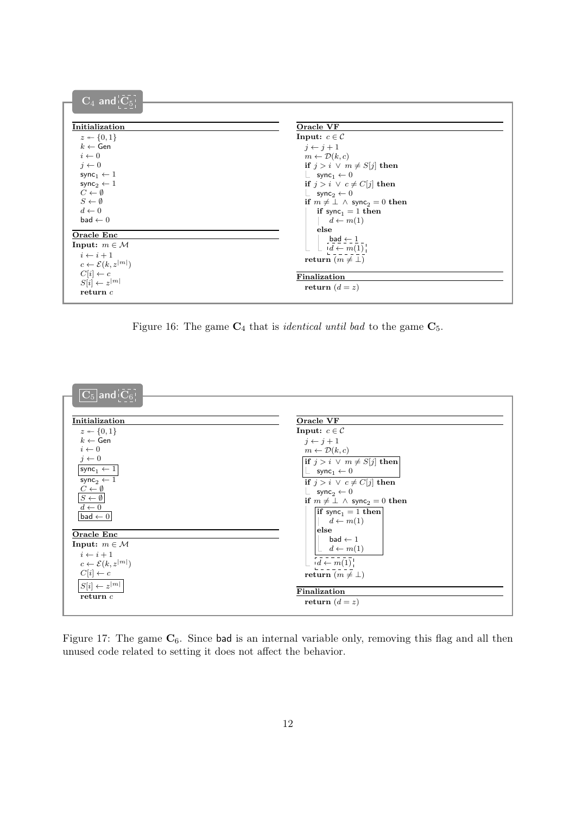| $\overline{\textbf{C}_4}$ and $\overline{\textbf{C}_5}$ |                                                          |
|---------------------------------------------------------|----------------------------------------------------------|
|                                                         |                                                          |
|                                                         |                                                          |
| Initialization                                          | Oracle VF                                                |
| $z \leftarrow \{0, 1\}$                                 | Input: $c \in \mathcal{C}$                               |
| $k \leftarrow$ Gen                                      | $i \leftarrow i+1$                                       |
| $i \leftarrow 0$                                        | $m \leftarrow \mathcal{D}(k,c)$                          |
| $j \leftarrow 0$                                        | if $j > i \vee m \neq S[j]$ then                         |
| sync <sub>1</sub> $\leftarrow$ 1                        | $\perp$ sync <sub>1</sub> $\leftarrow$ 0                 |
| sync <sub>2</sub> $\leftarrow$ 1                        | if $j > i \vee c \neq C[j]$ then                         |
| $C \leftarrow \emptyset$                                | $\perp$ sync <sub>2</sub> $\leftarrow$ 0                 |
| $S \leftarrow \emptyset$                                | if $m \neq \perp \wedge$ sync <sub>2</sub> = 0 then      |
| $d \leftarrow 0$                                        | if sync <sub>1</sub> = 1 then                            |
| $bad \leftarrow 0$                                      | $d \leftarrow m(1)$                                      |
| Oracle Enc                                              | else                                                     |
| Input: $m \in \mathcal{M}$                              | $\_$ bad $\leftarrow$ 1                                  |
| $i \leftarrow i+1$                                      | $\Box$ id $\leftarrow$ m(1) <sup><math>\Box</math></sup> |
| $c \leftarrow \mathcal{E}(k, z^{ m })$                  | return $(m \neq \perp)$                                  |
| $C[i] \leftarrow c$                                     | Finalization                                             |
| $S[i] \leftarrow z^{ m }$                               |                                                          |
| return c                                                | return $(d = z)$                                         |
|                                                         |                                                          |

<span id="page-11-0"></span>Figure 16: The game  $C_4$  that is *identical until bad* to the game  $C_5$ .



<span id="page-11-1"></span>Figure 17: The game  $C_6$ . Since bad is an internal variable only, removing this flag and all then unused code related to setting it does not affect the behavior.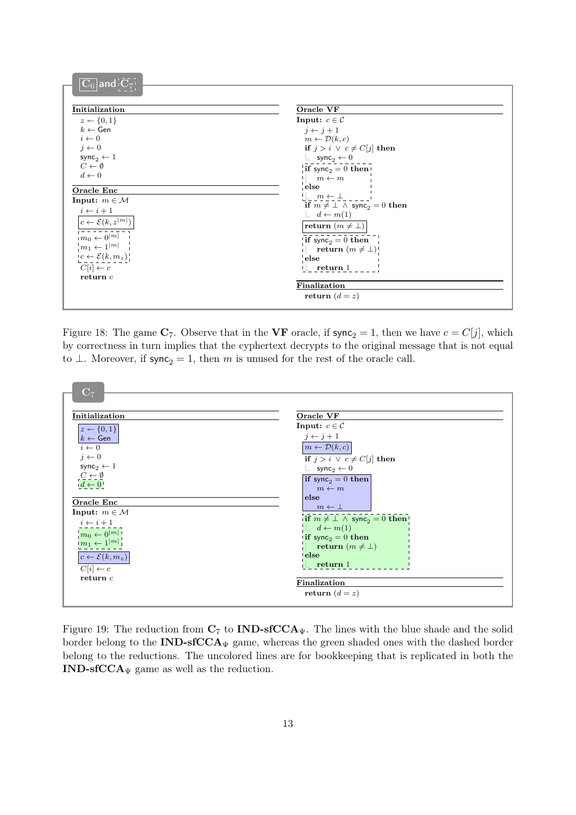| $ \mathbf{C}_6 $ and $ \mathbf{C}_7 $  |                                                                                                                                                                                                                                                                                                                     |
|----------------------------------------|---------------------------------------------------------------------------------------------------------------------------------------------------------------------------------------------------------------------------------------------------------------------------------------------------------------------|
| Initialization                         | Oracle VF                                                                                                                                                                                                                                                                                                           |
| $z \leftarrow \{0,1\}$                 | Input: $c \in \mathcal{C}$                                                                                                                                                                                                                                                                                          |
| $k \leftarrow$ Gen                     | $j \leftarrow j+1$                                                                                                                                                                                                                                                                                                  |
| $i \leftarrow 0$                       | $m \leftarrow \mathcal{D}(k,c)$                                                                                                                                                                                                                                                                                     |
| $j \leftarrow 0$                       | if $j > i \lor c \neq C[j]$ then                                                                                                                                                                                                                                                                                    |
| sync <sub>2</sub> $\leftarrow$ 1       | $\perp$ sync <sub>2</sub> $\leftarrow$ 0                                                                                                                                                                                                                                                                            |
| $C \leftarrow \emptyset$               | if sync <sub>2</sub> = 0 then                                                                                                                                                                                                                                                                                       |
| $d \leftarrow 0$                       | $m \leftarrow m$                                                                                                                                                                                                                                                                                                    |
| Oracle Enc                             | else                                                                                                                                                                                                                                                                                                                |
| Input: $m \in \mathcal{M}$             | $\frac{1}{2}$ $\frac{m}{2}$ $\frac{1}{2}$ $\frac{1}{2}$ $\frac{1}{2}$ $\frac{1}{2}$ $\frac{1}{2}$ $\frac{1}{2}$ $\frac{1}{2}$ $\frac{1}{2}$ $\frac{1}{2}$ $\frac{1}{2}$ $\frac{1}{2}$ $\frac{1}{2}$ $\frac{1}{2}$ $\frac{1}{2}$ $\frac{1}{2}$ $\frac{1}{2}$ $\frac{1}{2}$ $\frac{1}{2}$ $\frac{1}{2}$ $\frac{1}{2}$ |
| $i \leftarrow i + 1$                   | if $m \neq \perp \wedge$ sync <sub>2</sub> = 0 then                                                                                                                                                                                                                                                                 |
|                                        | $\lfloor d \leftarrow m(1) \rfloor$                                                                                                                                                                                                                                                                                 |
| $c \leftarrow \mathcal{E}(k, z^{ m })$ | return $(m\neq\bot)$                                                                                                                                                                                                                                                                                                |
| $m_0 \leftarrow \bar{0}^{ \bar{m} }$   | if sync <sub>2</sub> = 0 then                                                                                                                                                                                                                                                                                       |
| $m_1 \leftarrow 1^{ m }$               | return $(m \neq \bot)$                                                                                                                                                                                                                                                                                              |
| $c \leftarrow \mathcal{E}(k, m_z)$     | else                                                                                                                                                                                                                                                                                                                |
| $C[i] \leftarrow c$                    | $\mathsf{l} \mathsf{L}$ return 1                                                                                                                                                                                                                                                                                    |
| return $c$                             |                                                                                                                                                                                                                                                                                                                     |
|                                        | Finalization                                                                                                                                                                                                                                                                                                        |
|                                        | return $(d = z)$                                                                                                                                                                                                                                                                                                    |
|                                        |                                                                                                                                                                                                                                                                                                                     |

<span id="page-12-0"></span>Figure 18: The game  $\mathbf{C}_7$ . Observe that in the VF oracle, if sync<sub>2</sub> = 1, then we have  $c = C[j]$ , which by correctness in turn implies that the cyphertext decrypts to the original message that is not equal to  $\perp$ . Moreover, if sync<sub>2</sub> = 1, then m is unused for the rest of the oracle call.



<span id="page-12-1"></span>Figure 19: The reduction from  $C_7$  to **IND-sfCCA** $\psi$ . The lines with the blue shade and the solid border belong to the  $IND\text{-}sfCCA_{\Psi}$  game, whereas the green shaded ones with the dashed border belong to the reductions. The uncolored lines are for bookkeeping that is replicated in both the IND-sfCCA $\Psi$  game as well as the reduction.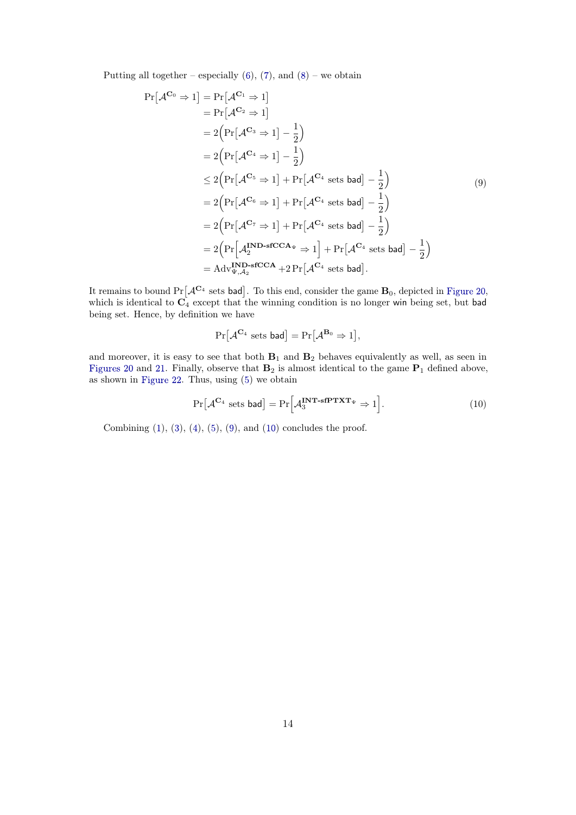Putting all together – especially  $(6)$  $(6)$ ,  $(7)$  $(7)$ , and  $(8)$  $(8)$  – we obtain

<span id="page-13-0"></span>
$$
Pr[AC_0 \Rightarrow 1] = Pr[AC_1 \Rightarrow 1]
$$
  
=  $Pr[AC_2 \Rightarrow 1]$   
=  $2(Pr[AC_3 \Rightarrow 1] - \frac{1}{2})$   
=  $2(Pr[AC_4 \Rightarrow 1] - \frac{1}{2})$   
 $\leq 2(Pr[AC_5 \Rightarrow 1] + Pr[AC_4 sets bad] - \frac{1}{2})$   
=  $2(Pr[AC_6 \Rightarrow 1] + Pr[AC_4 sets bad] - \frac{1}{2})$   
=  $2(Pr[AC_7 \Rightarrow 1] + Pr[AC_4 sets bad] - \frac{1}{2})$   
=  $2(Pr[AT^{1} \Rightarrow 1] + Pr[AC_4 sets bad] - \frac{1}{2})$   
=  $AdvTY,A2$  <sup>1</sup> for  $ReC_4 \Rightarrow 1$  <sup>-1</sup> +  $Pr[AC_4 \Rightarrow 1$  <sup>-1</sup>  
=  $AdvTY,A2$  <sup>- $krC A + 2 Pr[AC_4 \Rightarrow 1$  <sup>-1</sup></sup>

It remains to bound  $\Pr[\mathcal{A}^{\mathbf{C}_4}$  sets bad]. To this end, consider the game  $\mathbf{B}_0$ , depicted in [Figure 20](#page-14-0), which is identical to  $C_4$  except that the winning condition is no longer win being set, but bad being set. Hence, by definition we have

$$
\Pr[\mathcal{A}^{\mathbf{C}_4} \text{ sets } \mathsf{bad}] = \Pr[\mathcal{A}^{\mathbf{B}_0} \Rightarrow 1],
$$

and moreover, it is easy to see that both  $B_1$  and  $B_2$  behaves equivalently as well, as seen in [Figures 20](#page-14-0) and [21](#page-14-1). Finally, observe that  $\mathbf{B}_2$  is almost identical to the game  $\mathbf{P}_1$  defined above, as shown in [Figure 22](#page-15-0) . Thus, using [\(5](#page-6-1) ) we obtain

<span id="page-13-1"></span>
$$
\Pr[\mathcal{A}^{\mathbf{C}_4} \text{ sets } \mathsf{bad}] = \Pr[\mathcal{A}_3^{\mathbf{INT}\text{-}\mathbf{sfPTXT}_{\Psi}} \Rightarrow 1]. \tag{10}
$$

Combining  $(1)$  $(1)$ ,  $(3)$  $(3)$ ,  $(4)$  $(4)$ ,  $(5)$  $(5)$ ,  $(9)$  $(9)$ , and  $(10)$  $(10)$  concludes the proof.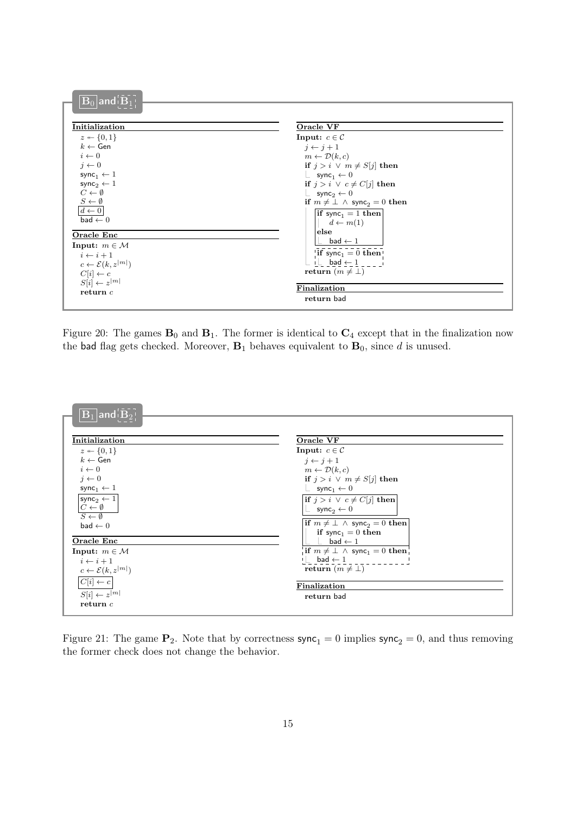| $\overline{\mathbf{B}_0}$ and $\overline{\mathbf{B}_1}$ . |                                                     |
|-----------------------------------------------------------|-----------------------------------------------------|
| Initialization                                            | Oracle VF                                           |
| $z \leftarrow \{0,1\}$                                    | Input: $c \in \mathcal{C}$                          |
| $k \leftarrow$ Gen                                        | $j \leftarrow j+1$                                  |
| $i \leftarrow 0$                                          | $m \leftarrow \mathcal{D}(k,c)$                     |
| $j \leftarrow 0$                                          | <b>if</b> $j > i \vee m \neq S[j]$ then             |
| $\mathsf{sync}_1 \leftarrow 1$                            | $\perp$ sync <sub>1</sub> $\leftarrow$ 0            |
| sync <sub>2</sub> $\leftarrow$ 1                          | if $j > i \vee c \neq C[j]$ then                    |
| $C \leftarrow \emptyset$                                  | $\perp$ sync <sub>2</sub> $\leftarrow$ 0            |
| $\frac{S\leftarrow \emptyset}{d\leftarrow 0}$             | if $m \neq \perp \wedge$ sync <sub>2</sub> = 0 then |
|                                                           | if sync <sub>1</sub> = 1 then                       |
| $bad \leftarrow 0$                                        | $d \leftarrow m(1)$                                 |
| Oracle Enc                                                | $\sf else$                                          |
| Input: $m \in \mathcal{M}$                                | bad $\leftarrow$ 1                                  |
| $i \leftarrow i+1$                                        | <b>if</b> sync <sub>1</sub> = 0 then                |
| $c \leftarrow \mathcal{E}(k, z^{ m })$                    | $i \perp$ bad $\leftarrow$ 1                        |
| $C[i] \leftarrow c$                                       | return $(m \neq \perp)$                             |
| $S[i] \leftarrow z^{ m }$                                 |                                                     |
| return c                                                  | Finalization                                        |
|                                                           | return bad                                          |
|                                                           |                                                     |

<span id="page-14-0"></span>Figure 20: The games  $\mathbf{B}_0$  and  $\mathbf{B}_1$ . The former is identical to  $\mathbf{C}_4$  except that in the finalization now the bad flag gets checked. Moreover,  $B_1$  behaves equivalent to  $B_0$ , since d is unused.



<span id="page-14-1"></span>Figure 21: The game  $P_2$ . Note that by correctness  $\text{sync}_1 = 0$  implies  $\text{sync}_2 = 0$ , and thus removing the former check does not change the behavior.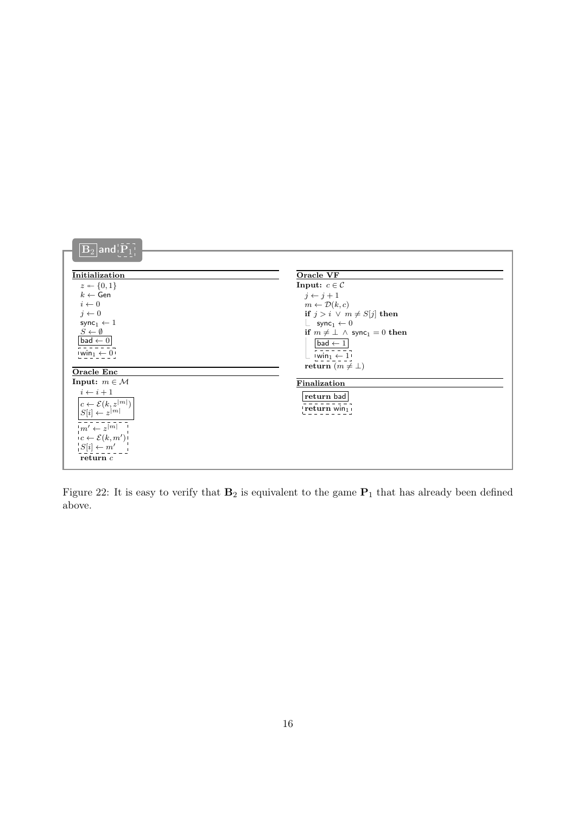| $\overline{ \mathbf{B}_2 }$ and $\overline{ \mathbf{P}_1 }$                                                                                                                                                                     |                                                                                                                                                                                                                                                                                                                    |
|---------------------------------------------------------------------------------------------------------------------------------------------------------------------------------------------------------------------------------|--------------------------------------------------------------------------------------------------------------------------------------------------------------------------------------------------------------------------------------------------------------------------------------------------------------------|
| Initialization<br>$z \leftarrow \{0, 1\}$<br>$k \leftarrow$ Gen<br>$i \leftarrow 0$<br>$j \leftarrow 0$<br>sync <sub>1</sub> $\leftarrow$ 1<br>$S \leftarrow \emptyset$<br>bad $\leftarrow 0$<br>$\mathsf{win}_1 \leftarrow 0$  | Oracle VF<br>Input: $c \in \mathcal{C}$<br>$j \leftarrow j+1$<br>$m \leftarrow \mathcal{D}(k,c)$<br>if $j > i \lor m \neq S[j]$ then<br>$\perp$ sync <sub>1</sub> $\leftarrow$ 0<br>if $m \neq \perp \wedge$ sync <sub>1</sub> = 0 then<br>$ bad \leftarrow 1 $<br>$vwin_1 \leftarrow 1$<br>return $(m \neq \bot)$ |
| <b>Oracle Enc</b>                                                                                                                                                                                                               |                                                                                                                                                                                                                                                                                                                    |
| Input: $m \in \mathcal{M}$<br>$i \leftarrow i + 1$<br>$c \leftarrow \mathcal{E}(k, z^{ m })$<br>$S[i] \leftarrow z^{ m }$<br>$m' \leftarrow z^{[m]}$<br>$c \leftarrow \mathcal{E}(k, m')$<br>$S[i] \leftarrow m'$<br>return $c$ | Finalization<br>return bad<br>$ $ return win $_1$                                                                                                                                                                                                                                                                  |

<span id="page-15-0"></span>Figure 22: It is easy to verify that  $B_2$  is equivalent to the game  $P_1$  that has already been defined above.